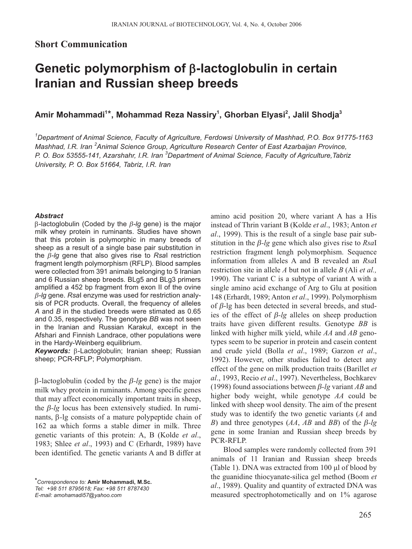## **Short Communication**

## **Genetic polymorphism of** β**-lactoglobulin in certain Iranian and Russian sheep breeds**

**Amir Mohammadi<sup>1</sup>** \***, Mohammad Reza Nassiry<sup>1</sup> , Ghorban Elyasi2 , Jalil Shodja3**

*1 Department of Animal Science, Faculty of Agriculture, Ferdowsi University of Mashhad, P.O. Box 91775-1163 Mashhad, I.R. Iran <sup>2</sup> Animal Science Group, Agriculture Research Center of East Azarbaijan Province, P. O. Box 53555-141, Azarshahr, I.R. Iran <sup>3</sup> Department of Animal Science, Faculty of Agriculture,Tabriz University, P. O. Box 51664, Tabriz, I.R. Iran* 

## *Abstract*

β-lactoglobulin (Coded by the β*-lg* gene) is the major milk whey protein in ruminants. Studies have shown that this protein is polymorphic in many breeds of sheep as a result of a single base pair substitution in the β*-lg* gene that also gives rise to *Rsa*I restriction fragment length polymorphism (RFLP). Blood samples were collected from 391 animals belonging to 5 Iranian and 6 Russian sheep breeds. BLg5 and BLg3 primers amplified a 452 bp fragment from exon II of the ovine β*-lg* gene. *Rsa*I enzyme was used for restriction analysis of PCR products. Overall, the frequency of alleles *A* and *B* in the studied breeds were stimated as 0.65 and 0.35, respectively. The genotype *BB* was not seen in the Iranian and Russian Karakul, except in the Afshari and Finnish Landrace, other populations were in the Hardy-Weinberg equilibrium.

*Keywords:* β-Lactoglobulin; Iranian sheep; Russian sheep; PCR-RFLP; Polymorphism.

β-lactoglobulin (coded by the β*-lg* gene) is the major milk whey protein in ruminants. Among specific genes that may affect economically important traits in sheep, the β*-lg* locus has been extensively studied. In ruminants, β*-*lg consists of a mature polypeptide chain of 162 aa which forms a stable dimer in milk. Three genetic variants of this protein: A, B (Kolde *et al*., 1983; Shlee *et al*., 1993) and C (Erhardt, 1989) have been identified. The genetic variants A and B differ at

amino acid position 20, where variant A has a His instead of Thrin variant B (Kolde *et al*., 1983; Anton *et al*., 1999). This is the result of a single base pair substitution in the β*-lg* gene which also gives rise to *Rsa*I restriction fragment lengh polymorphism. Sequence information from alleles A and B revealed an *Rsa*I restriction site in allele *A* but not in allele *B* (Ali *et al.,* 1990). The variant C is a subtype of variant A with a single amino acid exchange of Arg to Glu at position 148 (Erhardt, 1989; Anton *et al*., 1999). Polymorphism of β-lg has been detected in several breeds, and studies of the effect of β*-lg* alleles on sheep production traits have given different results. Genotype *BB* is linked with higher milk yield, while *AA* and *AB* genotypes seem to be superior in protein and casein content and crude yield (Bolla *et al*., 1989; Garzon *et al*., 1992). However, other studies failed to detect any effect of the gene on milk production traits (Barillet *et al*., 1993, Recio *et al*., 1997). Nevertheless, Bochkarev (1998) found associations between β*-lg* variant *AB* and higher body weight, while genotype *AA* could be linked with sheep wool density. The aim of the present study was to identify the two genetic variants (*A* and *B*) and three genotypes (*AA*, *AB* and *BB*) of the β*-lg* gene in some Iranian and Russian sheep breeds by PCR-RFLP.

Blood samples were randomly collected from 391 animals of 11 Iranian and Russian sheep breeds (Table 1). DNA was extracted from 100 µl of blood by the guanidine thiocyanate-silica gel method (Boom *et al*., 1989). Quality and quantity of extracted DNA was measured spectrophotometically and on 1% agarose

*<sup>\*</sup>Correspondence to:* **Amir Mohammadi, M.Sc.** *Tel: +98 511 8795618; Fax: +98 511 8787430 E-mail: amohamadi57@yahoo.com*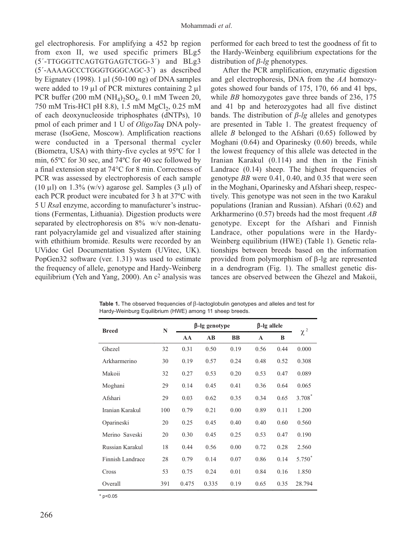gel electrophoresis. For amplifying a 452 bp region from exon II, we used specific primers BLg5 (5´-TTGGGTTCAGTGTGAGTCTGG-3´) and BLg3 (5´-AAAAGCCCTGGGTGGGCAGC-3´) as described by Eignatev (1998). 1  $\mu$ l (50-100 ng) of DNA samples were added to 19  $\mu$ l of PCR mixtures containing 2  $\mu$ l PCR buffer (200 mM ( $NH<sub>4</sub>$ )<sub>2</sub>SO<sub>4</sub>, 0.1 mM Tween 20, 750 mM Tris-HCl pH 8.8), 1.5 mM MgCl<sub>2</sub>, 0.25 mM of each deoxynucleoside triphosphates (dNTPs), 10 pmol of each primer and 1 U of *OligoTaq* DNA polymerase (IsoGene, Moscow). Amplification reactions were conducted in a Tpersonal thermal cycler (Biometra, USA) with thirty-five cycles at 95ºC for 1 min, 65ºC for 30 sec, and 74ºC for 40 sec followed by a final extension step at 74°C for 8 min. Correctness of PCR was assessed by electrophoresis of each sample (10  $\mu$ l) on 1.3% (w/v) agarose gel. Samples (3  $\mu$ l) of each PCR product were incubated for 3 h at 37ºC with 5 U *Rsa*I enzyme, according to manufacturer's instructions (Fermentas, Lithuania). Digestion products were separated by electrophoresis on 8% w/v non-denaturant polyacrylamide gel and visualized after staining with ethithium bromide. Results were recorded by an UVidoc Gel Documentation System (UVitec, UK). PopGen32 software (ver. 1.31) was used to estimate the frequency of allele, genotype and Hardy-Weinberg equilibrium (Yeh and Yang, 2000). An  $c<sup>2</sup>$  analysis was

performed for each breed to test the goodness of fit to the Hardy-Weinberg equilibrium expectations for the distribution of β*-lg* phenotypes.

After the PCR amplification, enzymatic digestion and gel electrophoresis, DNA from the *AA* homozygotes showed four bands of 175, 170, 66 and 41 bps, while *BB* homozygotes gave three bands of 236, 175 and 41 bp and heterozygotes had all five distinct bands. The distribution of β*-lg* alleles and genotypes are presented in Table 1. The greatest frequency of allele *B* belonged to the Afshari (0.65) followed by Moghani (0.64) and Oparinesky (0.60) breeds, while the lowest frequency of this allele was detected in the Iranian Karakul (0.114) and then in the Finish Landrace  $(0.14)$  sheep. The highest frequencies of genotype *BB* were 0.41, 0.40, and 0.35 that were seen in the Moghani, Oparinesky and Afshari sheep, respectively. This genotype was not seen in the two Karakul populations (Iranian and Russian). Afshari (0.62) and Arkharmerino (0.57) breeds had the most frequent *AB* genotype. Except for the Afshari and Finnish Landrace, other populations were in the Hardy-Weinberg equilibrium (HWE) (Table 1). Genetic relationships between breeds based on the information provided from polymorphism of β-lg are represented in a dendrogram (Fig. 1). The smallest genetic distances are observed between the Ghezel and Makoii,

| <b>Breed</b>     | N   | β-lg genotype |                        |           | β-lg allele |      |                    |
|------------------|-----|---------------|------------------------|-----------|-------------|------|--------------------|
|                  |     | AA            | $\mathbf{A}\mathbf{B}$ | <b>BB</b> | A           | B    | $\chi^2$           |
| Ghezel           | 32  | 0.31          | 0.50                   | 0.19      | 0.56        | 0.44 | 0.000              |
| Arkharmerino     | 30  | 0.19          | 0.57                   | 0.24      | 0.48        | 0.52 | 0.308              |
| Makoii           | 32  | 0.27          | 0.53                   | 0.20      | 0.53        | 0.47 | 0.089              |
| Moghani          | 29  | 0.14          | 0.45                   | 0.41      | 0.36        | 0.64 | 0.065              |
| Afshari          | 29  | 0.03          | 0.62                   | 0.35      | 0.34        | 0.65 | 3.708 <sup>*</sup> |
| Iranian Karakul  | 100 | 0.79          | 0.21                   | 0.00      | 0.89        | 0.11 | 1.200              |
| Oparineski       | 20  | 0.25          | 0.45                   | 0.40      | 0.40        | 0.60 | 0.560              |
| Merino Saveski   | 20  | 0.30          | 0.45                   | 0.25      | 0.53        | 0.47 | 0.190              |
| Russian Karakul  | 18  | 0.44          | 0.56                   | 0.00      | 0.72        | 0.28 | 2.560              |
| Finnish Landrace | 28  | 0.79          | 0.14                   | 0.07      | 0.86        | 0.14 | 5.750              |
| Cross            | 53  | 0.75          | 0.24                   | 0.01      | 0.84        | 0.16 | 1.850              |
| Overall          | 391 | 0.475         | 0.335                  | 0.19      | 0.65        | 0.35 | 28.794             |

**Table 1.** The observed frequencies of β-lactoglobulin genotypes and alleles and test for Hardy-Weinburg Equilibrium (HWE) among 11 sheep breeds.

 $*$  p<0.05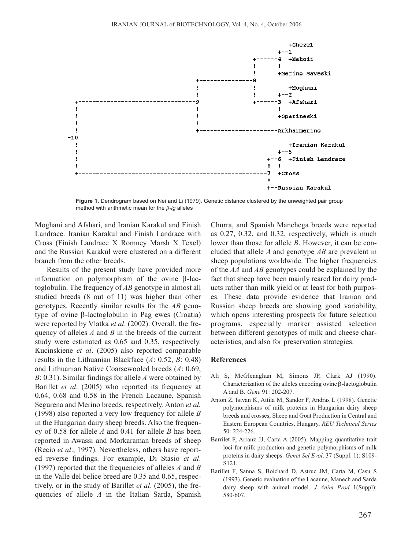

**Figure 1.** Dendrogram based on Nei and Li (1979). Genetic distance clustered by the unweighted pair group method with arithmetic mean for the β*-lg* alleles

Moghani and Afshari, and Iranian Karakul and Finish Landrace. Iranian Karakul and Finish Landrace with Cross (Finish Landrace X Romney Marsh X Texel) and the Russian Karakul were clustered on a different branch from the other breeds.

Results of the present study have provided more information on polymorphism of the ovine β-lactoglobulin. The frequency of *AB* genotype in almost all studied breeds (8 out of 11) was higher than other genotypes. Recently similar results for the *AB* genotype of ovine β-lactoglobulin in Pag ewes (Croatia) were reported by Vlatka *et al*. (2002). Overall, the frequency of alleles *A* and *B* in the breeds of the current study were estimated as 0.65 and 0.35, respectively. Kucinskiene *et al*. (2005) also reported comparable results in the Lithuanian Blackface (*A*: 0.52, *B*: 0.48) and Lithuanian Native Coarsewooled breeds (*A*: 0.69, *B*: 0.31). Similar findings for allele *A* were obtained by Barillet *et al*. (2005) who reported its frequency at 0.64, 0.68 and 0.58 in the French Lacaune, Spanish Segurena and Merino breeds, respectively. Anton *et al.* (1998) also reported a very low frequency for allele *B* in the Hungarian dairy sheep breeds. Also the frequency of 0.58 for allele *A* and 0.41 for allele *B* has been reported in Awassi and Morkaraman breeds of sheep (Recio *et al*., 1997). Nevertheless, others have reported reverse findings. For example, Di Stasio *et al*. (1997) reported that the frequencies of alleles *A* and *B* in the Valle del belice breed are 0.35 and 0.65, respectively, or in the study of Barillet *et al*. (2005), the frequencies of allele *A* in the Italian Sarda, Spanish

Churra, and Spanish Manchega breeds were reported as 0.27, 0.32, and 0.32, respectively, which is much lower than those for allele *B*. However, it can be concluded that allele *A* and genotype *AB* are prevalent in sheep populations worldwide. The higher frequencies of the *AA* and *AB* genotypes could be explained by the fact that sheep have been mainly reared for dairy products rather than milk yield or at least for both purposes. These data provide evidence that Iranian and Russian sheep breeds are showing good variability, which opens interesting prospects for future selection programs, especially marker assisted selection between different genotypes of milk and cheese characteristics, and also for preservation strategies.

## **References**

- Ali S, McGlenaghan M, Simons JP, Clark AJ (1990). Characterization of the alleles encoding ovine β-lactoglobulin A and B. *Gene* 91: 202-207.
- Anton Z, Istvan K, Attila M, Sandor F, Andras L (1998). Genetic polymorphisms of milk proteins in Hungarian dairy sheep breeds and crosses, Sheep and Goat Production in Central and Eastern European Countries, Hungary, *REU Technical Series* 50: 224-226.
- Barrilet F, Arranz JJ, Carta A (2005). Mapping quantitative trait loci for milk production and genetic polymorphisms of milk proteins in dairy sheeps. *Genet Sel Evol*. 37 (Suppl. 1): S109- S121.
- Barillet F, Sanna S, Boichard D, Astruc JM, Carta M, Casu S (1993). Genetic evaluation of the Lacaune, Manech and Sarda dairy sheep with animal model. *J Anim Prod* 1(Suppl): 580-607.